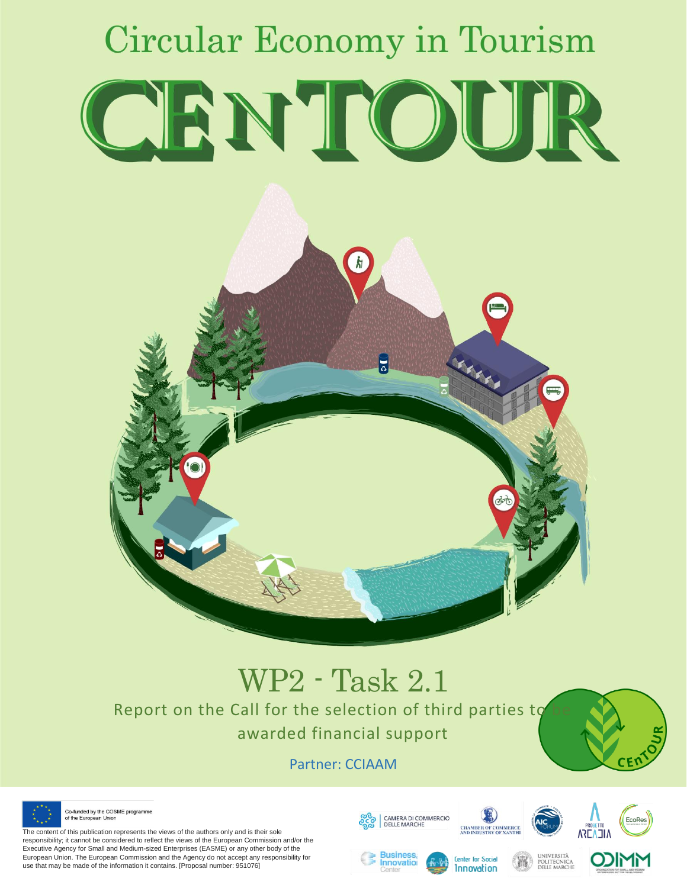

# WP2 - Task 2.1

Report on the Call for the selection of third parties to awarded financial support

Partner: CCIAAM



Co-funded by the COSME programme of the European Unior

The content of this publication represents the views of the authors only and is their sole responsibility; it cannot be considered to reflect the views of the European Commission and/or the Executive Agency for Small and Medium-sized Enterprises (EASME) or any other body of the European Union. The European Commission and the Agency do not accept any responsibility for use that may be made of the information it contains. [Proposal number: 951076]



Innovatio







CE۲

**Center for Social Innovation**  UNIVERSITÀ<br>POLITECNICA<br>DELLE MARCHE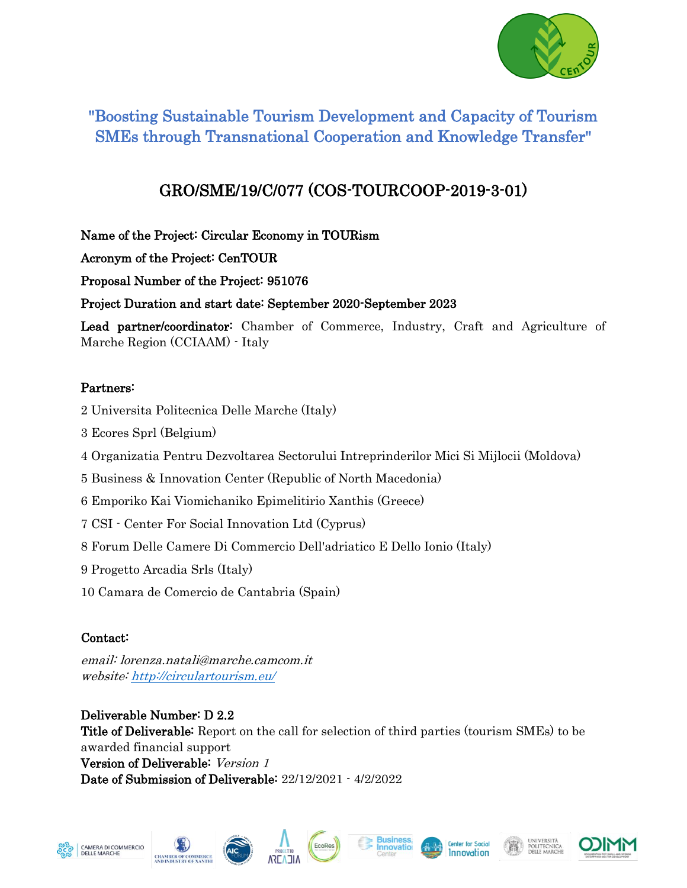

### "Boosting Sustainable Tourism Development and Capacity of Tourism SMEs through Transnational Cooperation and Knowledge Transfer"

## GRO/SME/19/C/077 (COS-TOURCOOP-2019-3-01)

Name of the Project: Circular Economy in TOURism

Acronym of the Project: CenTOUR

Proposal Number of the Project: 951076

Project Duration and start date: September 2020-September 2023

Lead partner/coordinator: Chamber of Commerce, Industry, Craft and Agriculture of Marche Region (CCIAAM) - Italy

#### Partners:

- 2 Universita Politecnica Delle Marche (Italy)
- 3 Ecores Sprl (Belgium)
- 4 Organizatia Pentru Dezvoltarea Sectorului Intreprinderilor Mici Si Mijlocii (Moldova)
- 5 Business & Innovation Center (Republic of North Macedonia)
- 6 Emporiko Kai Viomichaniko Epimelitirio Xanthis (Greece)
- 7 CSI Center For Social Innovation Ltd (Cyprus)
- 8 Forum Delle Camere Di Commercio Dell'adriatico E Dello Ionio (Italy)
- 9 Progetto Arcadia Srls (Italy)
- 10 Camara de Comercio de Cantabria (Spain)

### Contact:

email: lorenza.natali@marche.camcom.it website[: http://circulartourism.eu/](http://circulartourism.eu/)

Deliverable Number: D 2.2 Title of Deliverable: Report on the call for selection of third parties (tourism SMEs) to be awarded financial support Version of Deliverable: Version 1 Date of Submission of Deliverable: 22/12/2021 - 4/2/2022













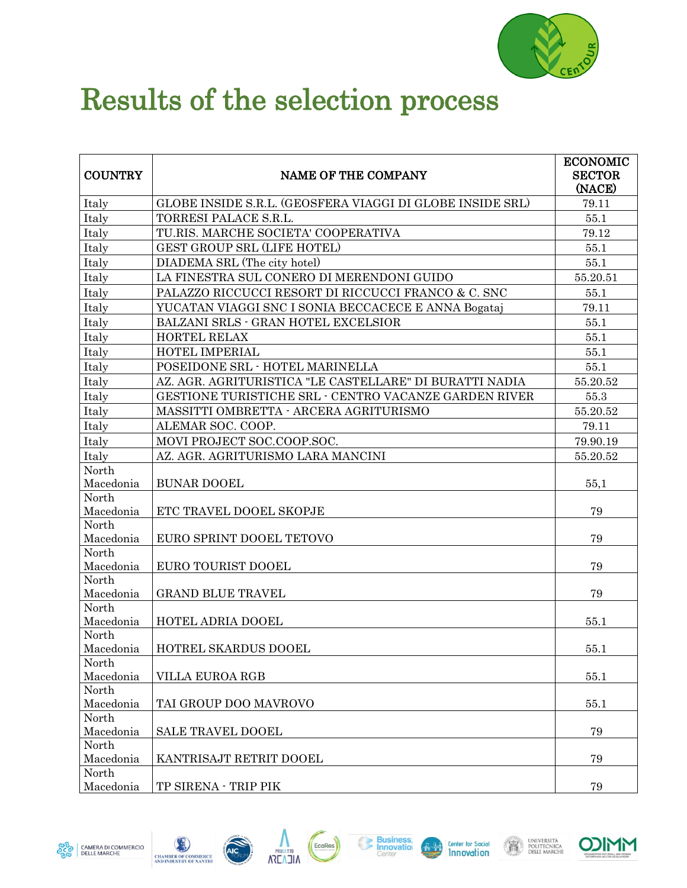

## Results of the selection process

| <b>COUNTRY</b>     | <b>NAME OF THE COMPANY</b>                                | <b>ECONOMIC</b><br><b>SECTOR</b><br>(NACE) |
|--------------------|-----------------------------------------------------------|--------------------------------------------|
| Italy              | GLOBE INSIDE S.R.L. (GEOSFERA VIAGGI DI GLOBE INSIDE SRL) | 79.11                                      |
| Italy              | TORRESI PALACE S.R.L.                                     | 55.1                                       |
| Italy              | TU.RIS. MARCHE SOCIETA' COOPERATIVA                       | 79.12                                      |
| Italy              | <b>GEST GROUP SRL (LIFE HOTEL)</b>                        | 55.1                                       |
| Italy              | DIADEMA SRL (The city hotel)                              | 55.1                                       |
| Italy              | LA FINESTRA SUL CONERO DI MERENDONI GUIDO                 | 55.20.51                                   |
| Italy              | PALAZZO RICCUCCI RESORT DI RICCUCCI FRANCO & C. SNC       | 55.1                                       |
| Italy              | YUCATAN VIAGGI SNC I SONIA BECCACECE E ANNA Bogataj       | 79.11                                      |
| Italy              | BALZANI SRLS - GRAN HOTEL EXCELSIOR                       | 55.1                                       |
| Italy              | <b>HORTEL RELAX</b>                                       | 55.1                                       |
| Italy              | HOTEL IMPERIAL                                            | 55.1                                       |
| Italy              | POSEIDONE SRL - HOTEL MARINELLA                           | 55.1                                       |
| Italy              | AZ. AGR. AGRITURISTICA "LE CASTELLARE" DI BURATTI NADIA   | 55.20.52                                   |
| Italy              | GESTIONE TURISTICHE SRL - CENTRO VACANZE GARDEN RIVER     | 55.3                                       |
| Italy              | MASSITTI OMBRETTA - ARCERA AGRITURISMO                    | 55.20.52                                   |
| Italy              | ALEMAR SOC. COOP.                                         | 79.11                                      |
| Italy              | MOVI PROJECT SOC.COOP.SOC.                                | 79.90.19                                   |
| Italy              | AZ. AGR. AGRITURISMO LARA MANCINI                         | 55.20.52                                   |
| North              |                                                           |                                            |
| Macedonia          | <b>BUNAR DOOEL</b>                                        | 55,1                                       |
| North              |                                                           |                                            |
| Macedonia          | ETC TRAVEL DOOEL SKOPJE                                   | 79                                         |
| North              |                                                           | 79                                         |
| Macedonia<br>North | EURO SPRINT DOOEL TETOVO                                  |                                            |
| Macedonia          | EURO TOURIST DOOEL                                        | 79                                         |
| North              |                                                           |                                            |
| Macedonia          | <b>GRAND BLUE TRAVEL</b>                                  | 79                                         |
| North              |                                                           |                                            |
| Macedonia          | <b>HOTEL ADRIA DOOEL</b>                                  | 55.1                                       |
| North              |                                                           |                                            |
| Macedonia          | HOTREL SKARDUS DOOEL                                      | 55.1                                       |
| North              |                                                           |                                            |
| Macedonia<br>North | VILLA EUROA RGB                                           | 55.1                                       |
| Macedonia          | TAI GROUP DOO MAVROVO                                     | 55.1                                       |
| North              |                                                           |                                            |
| Macedonia          | <b>SALE TRAVEL DOOEL</b>                                  | 79                                         |
| North              |                                                           |                                            |
| Macedonia          | KANTRISAJT RETRIT DOOEL                                   | 79                                         |
| North              |                                                           |                                            |
| Macedonia          | TP SIRENA - TRIP PIK                                      | 79                                         |







EcoRes







UNIVERSITÀ<br>Politecnica<br>Delle marche